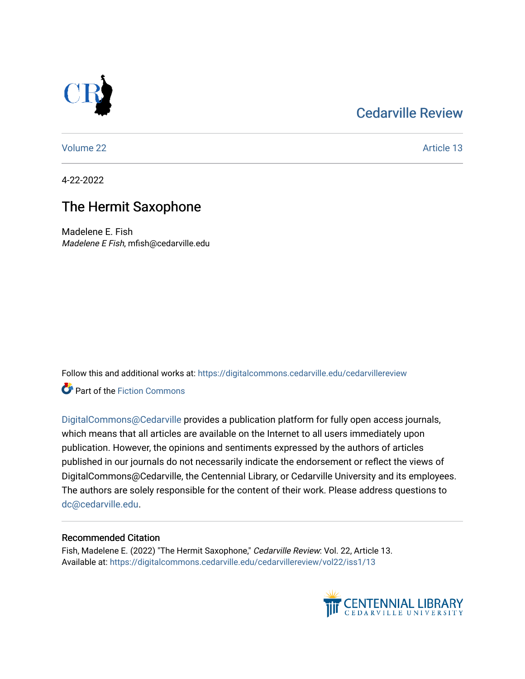## [Cedarville Review](https://digitalcommons.cedarville.edu/cedarvillereview)



[Volume 22](https://digitalcommons.cedarville.edu/cedarvillereview/vol22) Article 13

4-22-2022

## The Hermit Saxophone

Madelene E. Fish Madelene E Fish, mfish@cedarville.edu

Follow this and additional works at: [https://digitalcommons.cedarville.edu/cedarvillereview](https://digitalcommons.cedarville.edu/cedarvillereview?utm_source=digitalcommons.cedarville.edu%2Fcedarvillereview%2Fvol22%2Fiss1%2F13&utm_medium=PDF&utm_campaign=PDFCoverPages) 

**Part of the Fiction Commons** 

[DigitalCommons@Cedarville](http://digitalcommons.cedarville.edu/) provides a publication platform for fully open access journals, which means that all articles are available on the Internet to all users immediately upon publication. However, the opinions and sentiments expressed by the authors of articles published in our journals do not necessarily indicate the endorsement or reflect the views of DigitalCommons@Cedarville, the Centennial Library, or Cedarville University and its employees. The authors are solely responsible for the content of their work. Please address questions to [dc@cedarville.edu.](mailto:dc@cedarville.edu)

#### Recommended Citation

Fish, Madelene E. (2022) "The Hermit Saxophone," Cedarville Review: Vol. 22, Article 13. Available at: [https://digitalcommons.cedarville.edu/cedarvillereview/vol22/iss1/13](https://digitalcommons.cedarville.edu/cedarvillereview/vol22/iss1/13?utm_source=digitalcommons.cedarville.edu%2Fcedarvillereview%2Fvol22%2Fiss1%2F13&utm_medium=PDF&utm_campaign=PDFCoverPages)

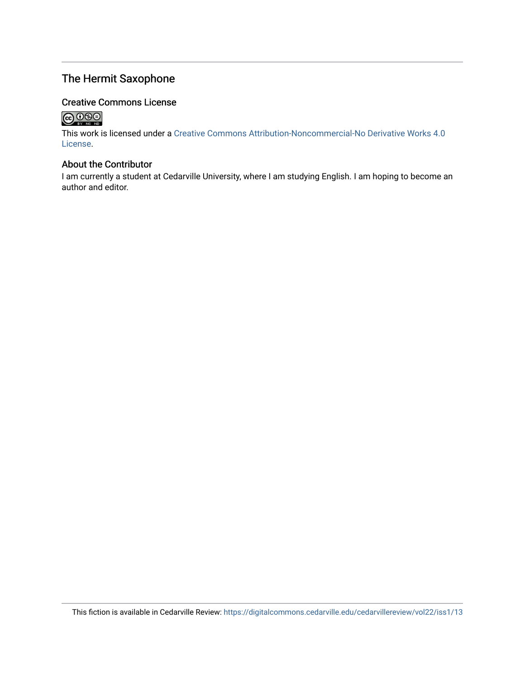### The Hermit Saxophone

#### Creative Commons License

## 

This work is licensed under a [Creative Commons Attribution-Noncommercial-No Derivative Works 4.0](http://creativecommons.org/licenses/by-nc-nd/4.0/) [License](http://creativecommons.org/licenses/by-nc-nd/4.0/).

#### About the Contributor

I am currently a student at Cedarville University, where I am studying English. I am hoping to become an author and editor.